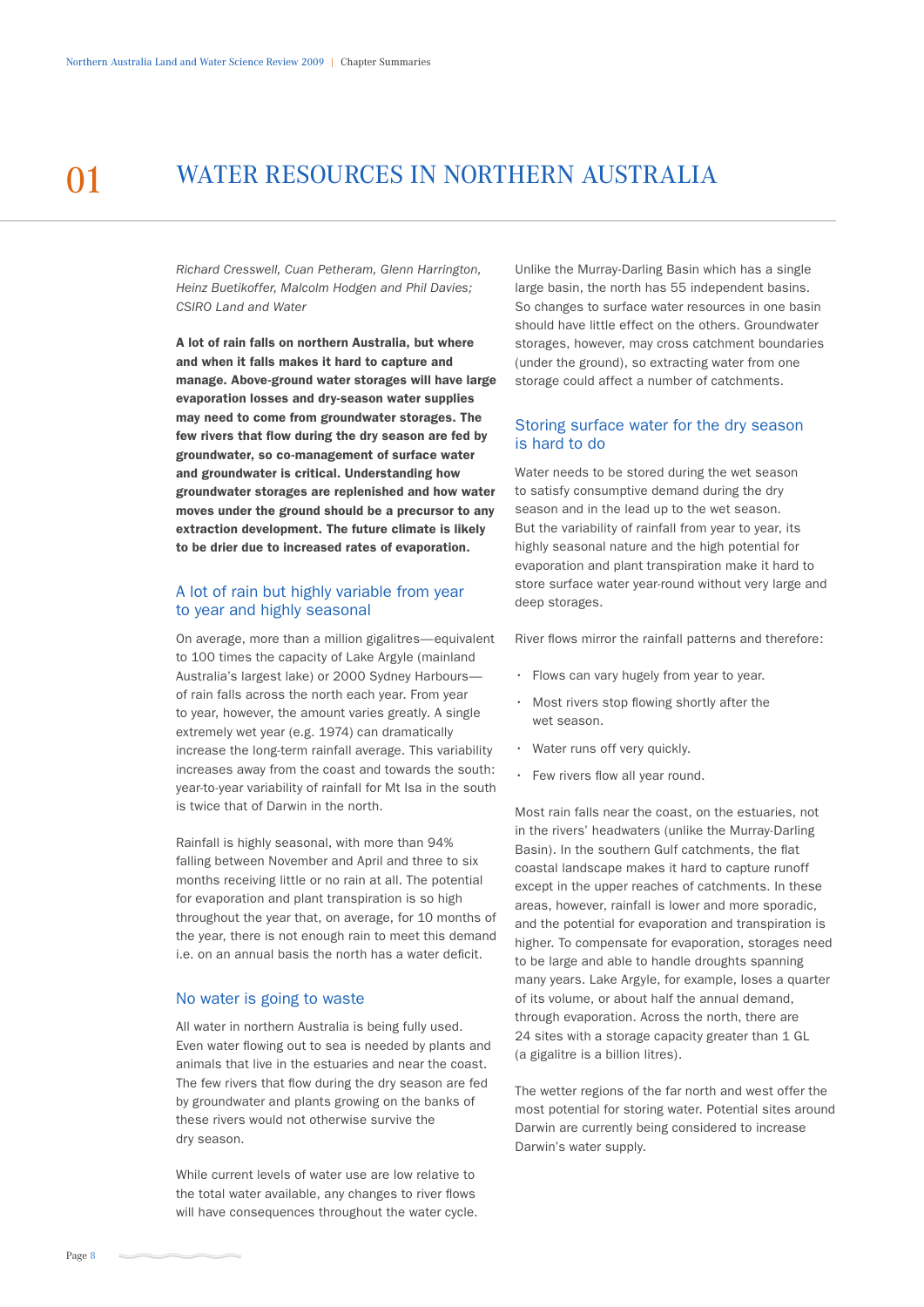# 01 WATER RESOURCES IN NORTHERN AUSTRALIA

*Richard Cresswell, Cuan Petheram, Glenn Harrington, Heinz Buetikoffer, Malcolm Hodgen and Phil Davies; CSIRO Land and Water*

A lot of rain falls on northern Australia, but where and when it falls makes it hard to capture and manage. Above-ground water storages will have large evaporation losses and dry-season water supplies may need to come from groundwater storages. The few rivers that flow during the dry season are fed by groundwater, so co-management of surface water and groundwater is critical. Understanding how groundwater storages are replenished and how water moves under the ground should be a precursor to any extraction development. The future climate is likely to be drier due to increased rates of evaporation.

## A lot of rain but highly variable from year to year and highly seasonal

On average, more than a million gigalitres—equivalent to 100 times the capacity of Lake Argyle (mainland Australia's largest lake) or 2000 Sydney Harbours of rain falls across the north each year. From year to year, however, the amount varies greatly. A single extremely wet year (e.g. 1974) can dramatically increase the long-term rainfall average. This variability increases away from the coast and towards the south: year-to-year variability of rainfall for Mt Isa in the south is twice that of Darwin in the north.

Rainfall is highly seasonal, with more than 94% falling between November and April and three to six months receiving little or no rain at all. The potential for evaporation and plant transpiration is so high throughout the year that, on average, for 10 months of the year, there is not enough rain to meet this demand i.e. on an annual basis the north has a water deficit.

#### No water is going to waste

All water in northern Australia is being fully used. Even water flowing out to sea is needed by plants and animals that live in the estuaries and near the coast. The few rivers that flow during the dry season are fed by groundwater and plants growing on the banks of these rivers would not otherwise survive the dry season.

While current levels of water use are low relative to the total water available, any changes to river flows will have consequences throughout the water cycle. Unlike the Murray-Darling Basin which has a single large basin, the north has 55 independent basins. So changes to surface water resources in one basin should have little effect on the others. Groundwater storages, however, may cross catchment boundaries (under the ground), so extracting water from one storage could affect a number of catchments.

#### Storing surface water for the dry season is hard to do

Water needs to be stored during the wet season to satisfy consumptive demand during the dry season and in the lead up to the wet season. But the variability of rainfall from year to year, its highly seasonal nature and the high potential for evaporation and plant transpiration make it hard to store surface water year-round without very large and deep storages.

River flows mirror the rainfall patterns and therefore:

- Flows can vary hugely from year to year.
- Most rivers stop flowing shortly after the wet season.
- Water runs off very quickly.
- Few rivers flow all year round.

Most rain falls near the coast, on the estuaries, not in the rivers' headwaters (unlike the Murray-Darling Basin). In the southern Gulf catchments, the flat coastal landscape makes it hard to capture runoff except in the upper reaches of catchments. In these areas, however, rainfall is lower and more sporadic, and the potential for evaporation and transpiration is higher. To compensate for evaporation, storages need to be large and able to handle droughts spanning many years. Lake Argyle, for example, loses a quarter of its volume, or about half the annual demand, through evaporation. Across the north, there are 24 sites with a storage capacity greater than 1 GL (a gigalitre is a billion litres).

The wetter regions of the far north and west offer the most potential for storing water. Potential sites around Darwin are currently being considered to increase Darwin's water supply.